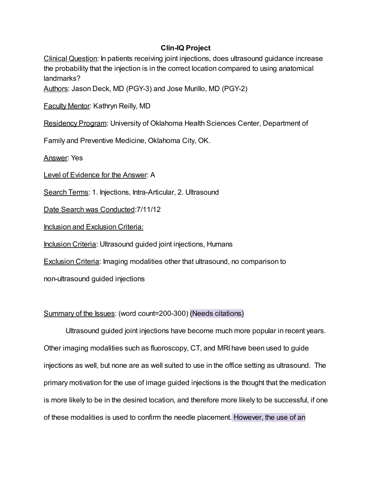## Clin-IQ Project

Clinical Question: In patients receiving joint injections, does ultrasound guidance increase the probability that the injection is in the correct location compared to using anatomical landmarks?

Authors: Jason Deck, MD (PGY-3) and Jose Murillo, MD (PGY-2)

Faculty Mentor: Kathryn Reilly, MD

Residency Program: University of Oklahoma Health Sciences Center, Department of

Family and Preventive Medicine, Oklahoma City, OK.

Answer: Yes

Level of Evidence for the Answer: A

Search Terms: 1. Injections, Intra-Articular, 2. Ultrasound

Date Search was Conducted:7/11/12

Inclusion and Exclusion Criteria:

Inclusion Criteria: Ultrasound guided joint injections, Humans

Exclusion Criteria: Imaging modalities other that ultrasound, no comparison to

non-ultrasound guided injections

# Summary of the Issues: (word count=200-300) (Needs citations)

Ultrasound guided joint injections have become much more popular in recent years. Other imaging modalities such as fluoroscopy, CT, and MRI have been used to guide injections as well, but none are as well suited to use in the office setting as ultrasound. The primary motivation for the use of image guided injections is the thought that the medication is more likely to be in the desired location, and therefore more likely to be successful, if one of these modalities is used to confirm the needle placement. However, the use of an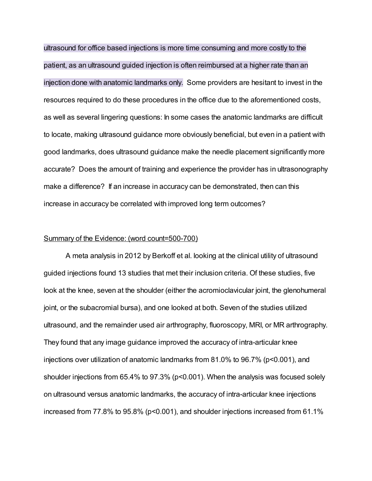ultrasound for office based injections is more time consuming and more costly to the patient, as an ultrasound guided injection is often reimbursed at a higher rate than an injection done with anatomic landmarks only. Some providers are hesitant to invest in the resources required to do these procedures in the office due to the aforementioned costs, as well as several lingering questions: In some cases the anatomic landmarks are difficult to locate, making ultrasound guidance more obviously beneficial, but even in a patient with good landmarks, does ultrasound guidance make the needle placement significantly more accurate? Does the amount of training and experience the provider has in ultrasonography make a difference? If an increase in accuracy can be demonstrated, then can this increase in accuracy be correlated with improved long term outcomes?

#### Summary of the Evidence: (word count=500-700)

A meta analysis in 2012 by Berkoff et al. looking at the clinical utility of ultrasound guided injections found 13 studies that met their inclusion criteria. Of these studies, five look at the knee, seven at the shoulder (either the acromioclavicular joint, the glenohumeral joint, or the subacromial bursa), and one looked at both. Seven of the studies utilized ultrasound, and the remainder used air arthrography, fluoroscopy, MRI, or MR arthrography. They found that any image guidance improved the accuracy of intra-articular knee injections over utilization of anatomic landmarks from 81.0% to 96.7% (p<0.001), and shoulder injections from 65.4% to 97.3% (p<0.001). When the analysis was focused solely on ultrasound versus anatomic landmarks, the accuracy of intra-articular knee injections increased from 77.8% to 95.8% (p<0.001), and shoulder injections increased from 61.1%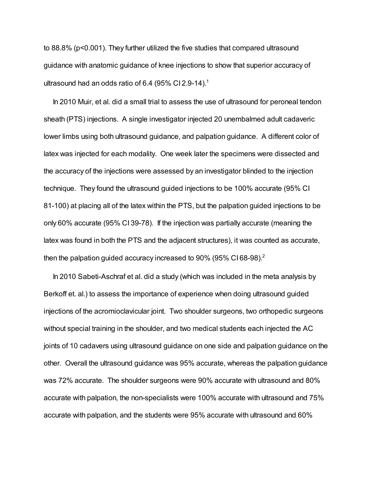to 88.8% (p<0.001). They further utilized the five studies that compared ultrasound guidance with anatomic guidance of knee injections to show that superior accuracy of ultrasound had an odds ratio of 6.4 (95% CI 2.9-14).<sup>1</sup>

In 2010 Muir, et al. did a small trial to assess the use of ultrasound for peroneal tendon sheath (PTS) injections. A single investigator injected 20 unembalmed adult cadaveric lower limbs using both ultrasound guidance, and palpation guidance. A different color of latex was injected for each modality. One week later the specimens were dissected and the accuracy of the injections were assessed by an investigator blinded to the injection technique. They found the ultrasound guided injections to be 100% accurate (95% CI 81-100) at placing all of the latex within the PTS, but the palpation guided injections to be only 60% accurate (95% CI 39-78). If the injection was partially accurate (meaning the latex was found in both the PTS and the adjacent structures), it was counted as accurate, then the palpation guided accuracy increased to 90% (95% CI68-98).<sup>2</sup>

In 2010 Sabeti-Aschraf et al. did a study (which was included in the meta analysis by Berkoff et. al.) to assess the importance of experience when doing ultrasound guided injections of the acromioclavicular joint. Two shoulder surgeons, two orthopedic surgeons without special training in the shoulder, and two medical students each injected the AC joints of 10 cadavers using ultrasound guidance on one side and palpation guidance on the other. Overall the ultrasound guidance was 95% accurate, whereas the palpation guidance was 72% accurate. The shoulder surgeons were 90% accurate with ultrasound and 80% accurate with palpation, the non-specialists were 100% accurate with ultrasound and 75% accurate with palpation, and the students were 95% accurate with ultrasound and 60%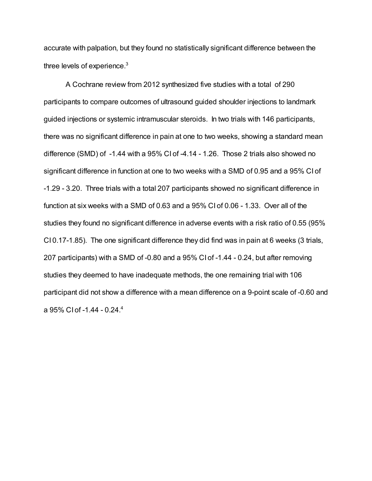accurate with palpation, but they found no statistically significant difference between the three levels of experience. $3$ 

A Cochrane review from 2012 synthesized five studies with a total of 290 participants to compare outcomes of ultrasound guided shoulder injections to landmark guided injections or systemic intramuscular steroids. In two trials with 146 participants, there was no significant difference in pain at one to two weeks, showing a standard mean difference (SMD) of -1.44 with a 95% CI of -4.14 - 1.26. Those 2 trials also showed no significant difference in function at one to two weeks with a SMD of 0.95 and a 95% CI of -1.29 - 3.20. Three trials with a total 207 participants showed no significant difference in function at six weeks with a SMD of 0.63 and a 95% CI of 0.06 - 1.33. Over all of the studies they found no significant difference in adverse events with a risk ratio of 0.55 (95% CI 0.17-1.85). The one significant difference they did find was in pain at 6 weeks (3 trials, 207 participants) with a SMD of -0.80 and a 95% CI of -1.44 - 0.24, but after removing studies they deemed to have inadequate methods, the one remaining trial with 106 participant did not show a difference with a mean difference on a 9-point scale of -0.60 and a 95% CI of -1.44 - 0.24. 4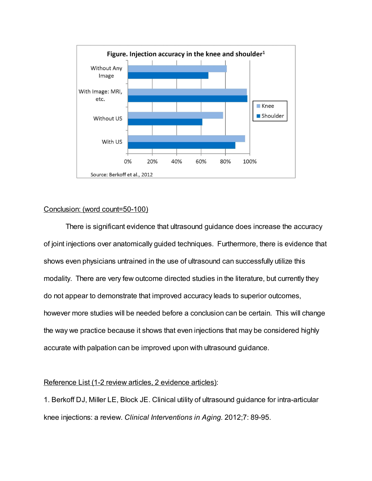

### Conclusion: (word count=50-100)

There is significant evidence that ultrasound guidance does increase the accuracy of joint injections over anatomically guided techniques. Furthermore, there is evidence that shows even physicians untrained in the use of ultrasound can successfully utilize this modality. There are very few outcome directed studies in the literature, but currently they do not appear to demonstrate that improved accuracy leads to superior outcomes, however more studies will be needed before a conclusion can be certain. This will change the way we practice because it shows that even injections that may be considered highly accurate with palpation can be improved upon with ultrasound guidance.

### Reference List (1-2 review articles, 2 evidence articles):

1. Berkoff DJ, Miller LE, Block JE. Clinical utility of ultrasound guidance for intra-articular knee injections: a review. Clinical Interventions in Aging. 2012;7: 89-95.